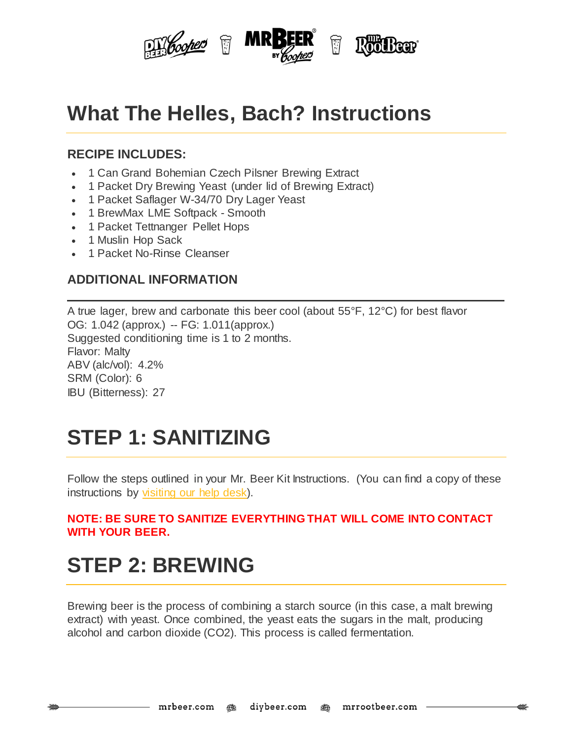

### **What The Helles, Bach? Instructions**

#### **RECIPE INCLUDES:**

- 1 Can Grand Bohemian Czech Pilsner Brewing Extract
- 1 Packet Dry Brewing Yeast (under lid of Brewing Extract)
- 1 Packet Saflager W-34/70 Dry Lager Yeast
- 1 BrewMax LME Softpack Smooth
- 1 Packet Tettnanger Pellet Hops
- 1 Muslin Hop Sack
- 1 Packet No-Rinse Cleanser

#### **ADDITIONAL INFORMATION**

A true lager, brew and carbonate this beer cool (about 55°F, 12°C) for best flavor OG: 1.042 (approx.) -- FG: 1.011(approx.) Suggested conditioning time is 1 to 2 months. Flavor: Malty ABV (alc/vol): 4.2% SRM (Color): 6 IBU (Bitterness): 27

# **STEP 1: SANITIZING**

Follow the steps outlined in your Mr. Beer Kit Instructions. (You can find a copy of these instructions by [visiting](http://www.mrbeer.com/help) our help desk).

#### **NOTE: BE SURE TO SANITIZE EVERYTHING THAT WILL COME INTO CONTACT WITH YOUR BEER.**

# **STEP 2: BREWING**

Brewing beer is the process of combining a starch source (in this case, a malt brewing extract) with yeast. Once combined, the yeast eats the sugars in the malt, producing alcohol and carbon dioxide (CO2). This process is called fermentation.